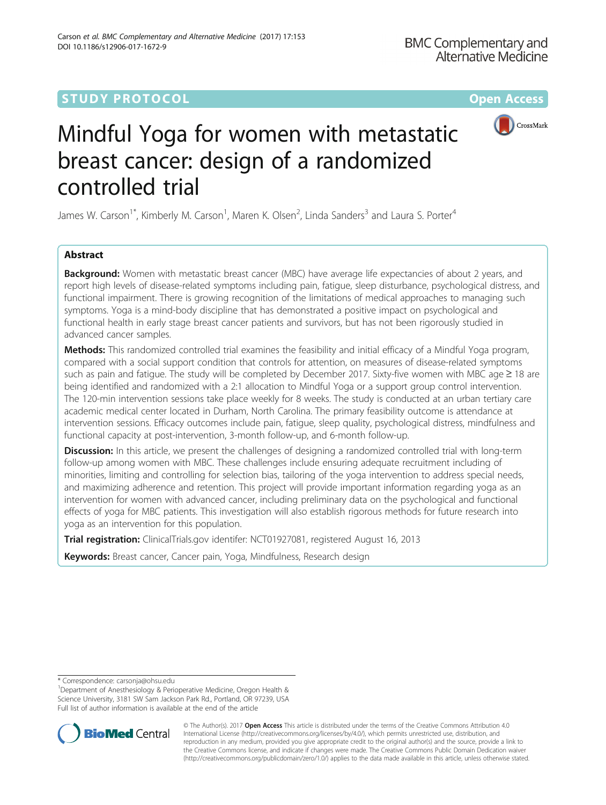# **STUDY PROTOCOL CONSUMING THE RESERVE ACCESS**



# Mindful Yoga for women with metastatic breast cancer: design of a randomized controlled trial

James W. Carson<sup>1\*</sup>, Kimberly M. Carson<sup>1</sup>, Maren K. Olsen<sup>2</sup>, Linda Sanders<sup>3</sup> and Laura S. Porter<sup>4</sup>

# Abstract

**Background:** Women with metastatic breast cancer (MBC) have average life expectancies of about 2 years, and report high levels of disease-related symptoms including pain, fatigue, sleep disturbance, psychological distress, and functional impairment. There is growing recognition of the limitations of medical approaches to managing such symptoms. Yoga is a mind-body discipline that has demonstrated a positive impact on psychological and functional health in early stage breast cancer patients and survivors, but has not been rigorously studied in advanced cancer samples.

Methods: This randomized controlled trial examines the feasibility and initial efficacy of a Mindful Yoga program, compared with a social support condition that controls for attention, on measures of disease-related symptoms such as pain and fatigue. The study will be completed by December 2017. Sixty-five women with MBC age ≥ 18 are being identified and randomized with a 2:1 allocation to Mindful Yoga or a support group control intervention. The 120-min intervention sessions take place weekly for 8 weeks. The study is conducted at an urban tertiary care academic medical center located in Durham, North Carolina. The primary feasibility outcome is attendance at intervention sessions. Efficacy outcomes include pain, fatigue, sleep quality, psychological distress, mindfulness and functional capacity at post-intervention, 3-month follow-up, and 6-month follow-up.

**Discussion:** In this article, we present the challenges of designing a randomized controlled trial with long-term follow-up among women with MBC. These challenges include ensuring adequate recruitment including of minorities, limiting and controlling for selection bias, tailoring of the yoga intervention to address special needs, and maximizing adherence and retention. This project will provide important information regarding yoga as an intervention for women with advanced cancer, including preliminary data on the psychological and functional effects of yoga for MBC patients. This investigation will also establish rigorous methods for future research into yoga as an intervention for this population.

Trial registration: ClinicalTrials.gov identifer: [NCT01927081,](https://clinicaltrials.gov/ct2/show/NCT01927081?term=NCT01927081&rank=1) registered August 16, 2013

Keywords: Breast cancer, Cancer pain, Yoga, Mindfulness, Research design

\* Correspondence: [carsonja@ohsu.edu](mailto:carsonja@ohsu.edu) <sup>1</sup>

<sup>&</sup>lt;sup>1</sup>Department of Anesthesiology & Perioperative Medicine, Oregon Health & Science University, 3181 SW Sam Jackson Park Rd., Portland, OR 97239, USA Full list of author information is available at the end of the article



© The Author(s). 2017 **Open Access** This article is distributed under the terms of the Creative Commons Attribution 4.0 International License [\(http://creativecommons.org/licenses/by/4.0/](http://creativecommons.org/licenses/by/4.0/)), which permits unrestricted use, distribution, and reproduction in any medium, provided you give appropriate credit to the original author(s) and the source, provide a link to the Creative Commons license, and indicate if changes were made. The Creative Commons Public Domain Dedication waiver [\(http://creativecommons.org/publicdomain/zero/1.0/](http://creativecommons.org/publicdomain/zero/1.0/)) applies to the data made available in this article, unless otherwise stated.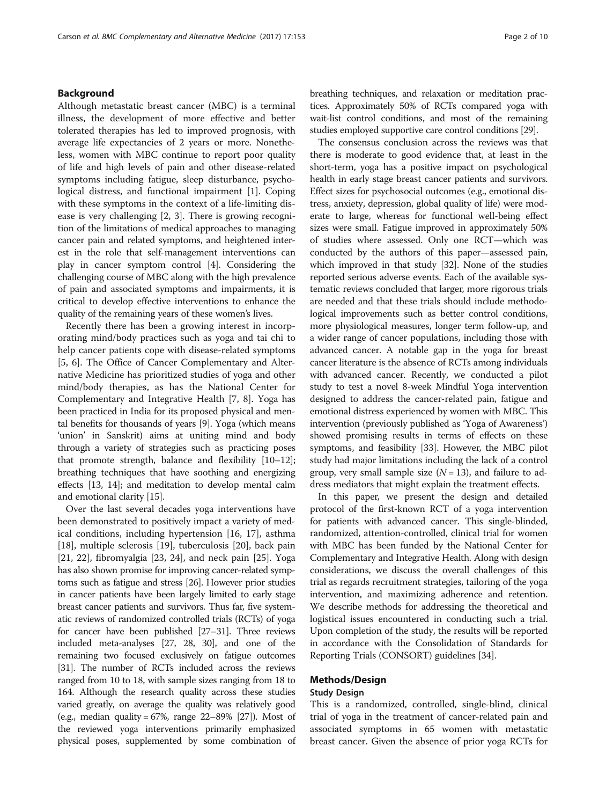#### Background

Although metastatic breast cancer (MBC) is a terminal illness, the development of more effective and better tolerated therapies has led to improved prognosis, with average life expectancies of 2 years or more. Nonetheless, women with MBC continue to report poor quality of life and high levels of pain and other disease-related symptoms including fatigue, sleep disturbance, psychological distress, and functional impairment [\[1\]](#page-8-0). Coping with these symptoms in the context of a life-limiting disease is very challenging [[2, 3](#page-8-0)]. There is growing recognition of the limitations of medical approaches to managing cancer pain and related symptoms, and heightened interest in the role that self-management interventions can play in cancer symptom control [\[4\]](#page-8-0). Considering the challenging course of MBC along with the high prevalence of pain and associated symptoms and impairments, it is critical to develop effective interventions to enhance the quality of the remaining years of these women's lives.

Recently there has been a growing interest in incorporating mind/body practices such as yoga and tai chi to help cancer patients cope with disease-related symptoms [[5, 6\]](#page-8-0). The Office of Cancer Complementary and Alternative Medicine has prioritized studies of yoga and other mind/body therapies, as has the National Center for Complementary and Integrative Health [[7, 8\]](#page-8-0). Yoga has been practiced in India for its proposed physical and mental benefits for thousands of years [[9\]](#page-8-0). Yoga (which means 'union' in Sanskrit) aims at uniting mind and body through a variety of strategies such as practicing poses that promote strength, balance and flexibility [\[10](#page-8-0)–[12](#page-8-0)]; breathing techniques that have soothing and energizing effects [[13](#page-8-0), [14](#page-8-0)]; and meditation to develop mental calm and emotional clarity [\[15\]](#page-8-0).

Over the last several decades yoga interventions have been demonstrated to positively impact a variety of medical conditions, including hypertension [[16, 17\]](#page-8-0), asthma [[18\]](#page-8-0), multiple sclerosis [\[19\]](#page-8-0), tuberculosis [[20\]](#page-8-0), back pain [[21, 22](#page-8-0)], fibromyalgia [[23](#page-8-0), [24](#page-8-0)], and neck pain [[25\]](#page-8-0). Yoga has also shown promise for improving cancer-related symptoms such as fatigue and stress [\[26\]](#page-8-0). However prior studies in cancer patients have been largely limited to early stage breast cancer patients and survivors. Thus far, five systematic reviews of randomized controlled trials (RCTs) of yoga for cancer have been published [[27](#page-8-0)–[31](#page-8-0)]. Three reviews included meta-analyses [[27](#page-8-0), [28, 30](#page-8-0)], and one of the remaining two focused exclusively on fatigue outcomes [[31](#page-8-0)]. The number of RCTs included across the reviews ranged from 10 to 18, with sample sizes ranging from 18 to 164. Although the research quality across these studies varied greatly, on average the quality was relatively good (e.g., median quality =  $67\%$ , range  $22-89\%$  [[27](#page-8-0)]). Most of the reviewed yoga interventions primarily emphasized physical poses, supplemented by some combination of breathing techniques, and relaxation or meditation practices. Approximately 50% of RCTs compared yoga with wait-list control conditions, and most of the remaining studies employed supportive care control conditions [[29](#page-8-0)].

The consensus conclusion across the reviews was that there is moderate to good evidence that, at least in the short-term, yoga has a positive impact on psychological health in early stage breast cancer patients and survivors. Effect sizes for psychosocial outcomes (e.g., emotional distress, anxiety, depression, global quality of life) were moderate to large, whereas for functional well-being effect sizes were small. Fatigue improved in approximately 50% of studies where assessed. Only one RCT—which was conducted by the authors of this paper—assessed pain, which improved in that study [\[32](#page-8-0)]. None of the studies reported serious adverse events. Each of the available systematic reviews concluded that larger, more rigorous trials are needed and that these trials should include methodological improvements such as better control conditions, more physiological measures, longer term follow-up, and a wider range of cancer populations, including those with advanced cancer. A notable gap in the yoga for breast cancer literature is the absence of RCTs among individuals with advanced cancer. Recently, we conducted a pilot study to test a novel 8-week Mindful Yoga intervention designed to address the cancer-related pain, fatigue and emotional distress experienced by women with MBC. This intervention (previously published as 'Yoga of Awareness') showed promising results in terms of effects on these symptoms, and feasibility [[33](#page-8-0)]. However, the MBC pilot study had major limitations including the lack of a control group, very small sample size  $(N = 13)$ , and failure to address mediators that might explain the treatment effects.

In this paper, we present the design and detailed protocol of the first-known RCT of a yoga intervention for patients with advanced cancer. This single-blinded, randomized, attention-controlled, clinical trial for women with MBC has been funded by the National Center for Complementary and Integrative Health. Along with design considerations, we discuss the overall challenges of this trial as regards recruitment strategies, tailoring of the yoga intervention, and maximizing adherence and retention. We describe methods for addressing the theoretical and logistical issues encountered in conducting such a trial. Upon completion of the study, the results will be reported in accordance with the Consolidation of Standards for Reporting Trials (CONSORT) guidelines [\[34\]](#page-8-0).

#### Methods/Design

#### Study Design

This is a randomized, controlled, single-blind, clinical trial of yoga in the treatment of cancer-related pain and associated symptoms in 65 women with metastatic breast cancer. Given the absence of prior yoga RCTs for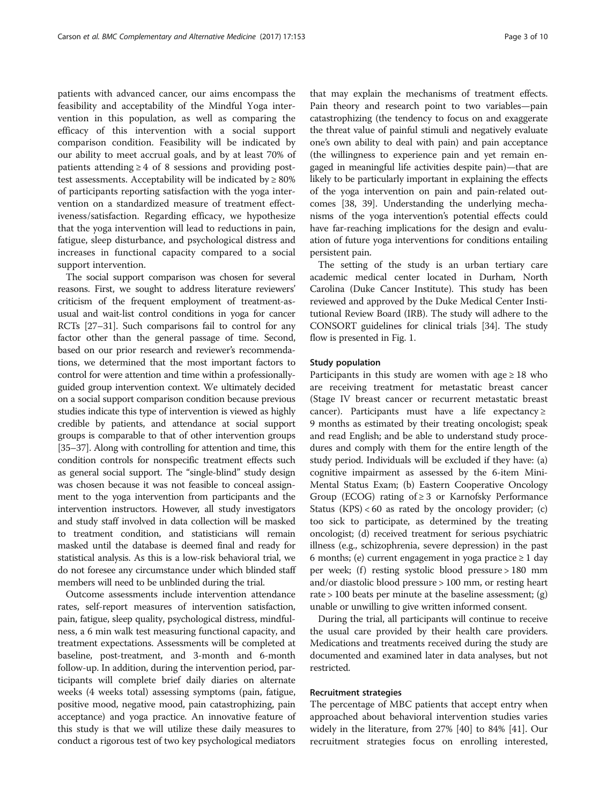patients with advanced cancer, our aims encompass the feasibility and acceptability of the Mindful Yoga intervention in this population, as well as comparing the efficacy of this intervention with a social support comparison condition. Feasibility will be indicated by our ability to meet accrual goals, and by at least 70% of patients attending  $\geq 4$  of 8 sessions and providing posttest assessments. Acceptability will be indicated by  $\geq 80\%$ of participants reporting satisfaction with the yoga intervention on a standardized measure of treatment effectiveness/satisfaction. Regarding efficacy, we hypothesize that the yoga intervention will lead to reductions in pain, fatigue, sleep disturbance, and psychological distress and increases in functional capacity compared to a social support intervention.

The social support comparison was chosen for several reasons. First, we sought to address literature reviewers' criticism of the frequent employment of treatment-asusual and wait-list control conditions in yoga for cancer RCTs [\[27](#page-8-0)–[31\]](#page-8-0). Such comparisons fail to control for any factor other than the general passage of time. Second, based on our prior research and reviewer's recommendations, we determined that the most important factors to control for were attention and time within a professionallyguided group intervention context. We ultimately decided on a social support comparison condition because previous studies indicate this type of intervention is viewed as highly credible by patients, and attendance at social support groups is comparable to that of other intervention groups [[35](#page-8-0)–[37\]](#page-8-0). Along with controlling for attention and time, this condition controls for nonspecific treatment effects such as general social support. The "single-blind" study design was chosen because it was not feasible to conceal assignment to the yoga intervention from participants and the intervention instructors. However, all study investigators and study staff involved in data collection will be masked to treatment condition, and statisticians will remain masked until the database is deemed final and ready for statistical analysis. As this is a low-risk behavioral trial, we do not foresee any circumstance under which blinded staff members will need to be unblinded during the trial.

Outcome assessments include intervention attendance rates, self-report measures of intervention satisfaction, pain, fatigue, sleep quality, psychological distress, mindfulness, a 6 min walk test measuring functional capacity, and treatment expectations. Assessments will be completed at baseline, post-treatment, and 3-month and 6-month follow-up. In addition, during the intervention period, participants will complete brief daily diaries on alternate weeks (4 weeks total) assessing symptoms (pain, fatigue, positive mood, negative mood, pain catastrophizing, pain acceptance) and yoga practice. An innovative feature of this study is that we will utilize these daily measures to conduct a rigorous test of two key psychological mediators

that may explain the mechanisms of treatment effects. Pain theory and research point to two variables—pain catastrophizing (the tendency to focus on and exaggerate the threat value of painful stimuli and negatively evaluate one's own ability to deal with pain) and pain acceptance (the willingness to experience pain and yet remain engaged in meaningful life activities despite pain)—that are likely to be particularly important in explaining the effects of the yoga intervention on pain and pain-related outcomes [[38, 39\]](#page-8-0). Understanding the underlying mechanisms of the yoga intervention's potential effects could have far-reaching implications for the design and evaluation of future yoga interventions for conditions entailing persistent pain.

The setting of the study is an urban tertiary care academic medical center located in Durham, North Carolina (Duke Cancer Institute). This study has been reviewed and approved by the Duke Medical Center Institutional Review Board (IRB). The study will adhere to the CONSORT guidelines for clinical trials [[34](#page-8-0)]. The study flow is presented in Fig. [1.](#page-3-0)

#### Study population

Participants in this study are women with age  $\geq 18$  who are receiving treatment for metastatic breast cancer (Stage IV breast cancer or recurrent metastatic breast cancer). Participants must have a life expectancy  $\geq$ 9 months as estimated by their treating oncologist; speak and read English; and be able to understand study procedures and comply with them for the entire length of the study period. Individuals will be excluded if they have: (a) cognitive impairment as assessed by the 6-item Mini-Mental Status Exam; (b) Eastern Cooperative Oncology Group (ECOG) rating of  $\geq$  3 or Karnofsky Performance Status  $(KPS) < 60$  as rated by the oncology provider; (c) too sick to participate, as determined by the treating oncologist; (d) received treatment for serious psychiatric illness (e.g., schizophrenia, severe depression) in the past 6 months; (e) current engagement in yoga practice  $\geq 1$  day per week; (f) resting systolic blood pressure > 180 mm and/or diastolic blood pressure > 100 mm, or resting heart rate > 100 beats per minute at the baseline assessment; (g) unable or unwilling to give written informed consent.

During the trial, all participants will continue to receive the usual care provided by their health care providers. Medications and treatments received during the study are documented and examined later in data analyses, but not restricted.

#### Recruitment strategies

The percentage of MBC patients that accept entry when approached about behavioral intervention studies varies widely in the literature, from 27% [[40](#page-8-0)] to 84% [\[41](#page-8-0)]. Our recruitment strategies focus on enrolling interested,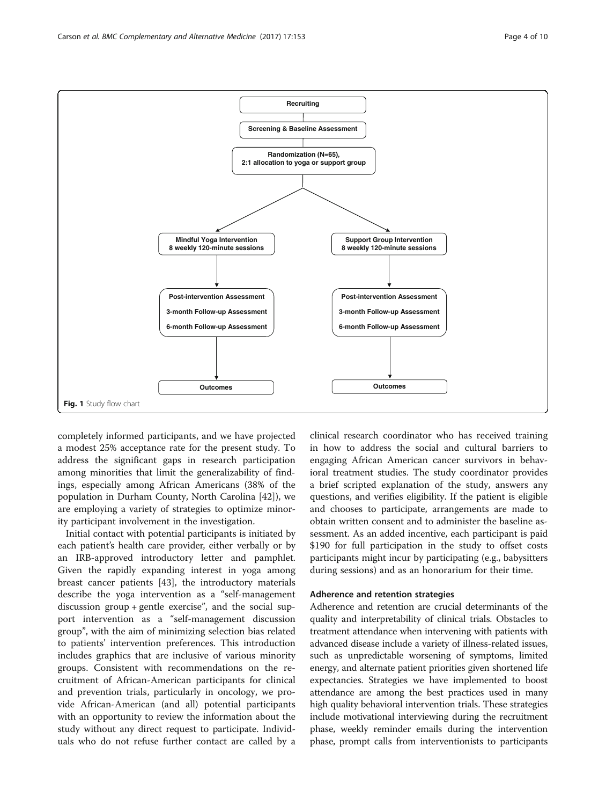completely informed participants, and we have projected a modest 25% acceptance rate for the present study. To address the significant gaps in research participation among minorities that limit the generalizability of findings, especially among African Americans (38% of the population in Durham County, North Carolina [[42](#page-8-0)]), we are employing a variety of strategies to optimize minority participant involvement in the investigation.

Initial contact with potential participants is initiated by each patient's health care provider, either verbally or by an IRB-approved introductory letter and pamphlet. Given the rapidly expanding interest in yoga among breast cancer patients [[43\]](#page-8-0), the introductory materials describe the yoga intervention as a "self-management discussion group + gentle exercise", and the social support intervention as a "self-management discussion group", with the aim of minimizing selection bias related to patients' intervention preferences. This introduction includes graphics that are inclusive of various minority groups. Consistent with recommendations on the recruitment of African-American participants for clinical and prevention trials, particularly in oncology, we provide African-American (and all) potential participants with an opportunity to review the information about the study without any direct request to participate. Individuals who do not refuse further contact are called by a

clinical research coordinator who has received training in how to address the social and cultural barriers to engaging African American cancer survivors in behavioral treatment studies. The study coordinator provides a brief scripted explanation of the study, answers any questions, and verifies eligibility. If the patient is eligible and chooses to participate, arrangements are made to obtain written consent and to administer the baseline assessment. As an added incentive, each participant is paid \$190 for full participation in the study to offset costs participants might incur by participating (e.g., babysitters during sessions) and as an honorarium for their time.

#### Adherence and retention strategies

Adherence and retention are crucial determinants of the quality and interpretability of clinical trials. Obstacles to treatment attendance when intervening with patients with advanced disease include a variety of illness-related issues, such as unpredictable worsening of symptoms, limited energy, and alternate patient priorities given shortened life expectancies. Strategies we have implemented to boost attendance are among the best practices used in many high quality behavioral intervention trials. These strategies include motivational interviewing during the recruitment phase, weekly reminder emails during the intervention phase, prompt calls from interventionists to participants

<span id="page-3-0"></span>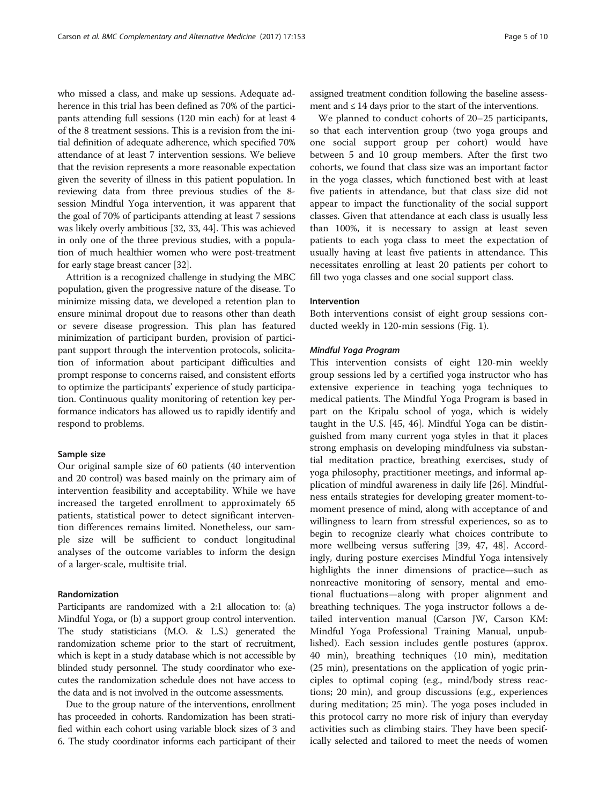who missed a class, and make up sessions. Adequate adherence in this trial has been defined as 70% of the participants attending full sessions (120 min each) for at least 4 of the 8 treatment sessions. This is a revision from the initial definition of adequate adherence, which specified 70% attendance of at least 7 intervention sessions. We believe that the revision represents a more reasonable expectation given the severity of illness in this patient population. In reviewing data from three previous studies of the 8 session Mindful Yoga intervention, it was apparent that the goal of 70% of participants attending at least 7 sessions was likely overly ambitious [[32](#page-8-0), [33, 44](#page-8-0)]. This was achieved in only one of the three previous studies, with a population of much healthier women who were post-treatment for early stage breast cancer [[32](#page-8-0)].

Attrition is a recognized challenge in studying the MBC population, given the progressive nature of the disease. To minimize missing data, we developed a retention plan to ensure minimal dropout due to reasons other than death or severe disease progression. This plan has featured minimization of participant burden, provision of participant support through the intervention protocols, solicitation of information about participant difficulties and prompt response to concerns raised, and consistent efforts to optimize the participants' experience of study participation. Continuous quality monitoring of retention key performance indicators has allowed us to rapidly identify and respond to problems.

#### Sample size

Our original sample size of 60 patients (40 intervention and 20 control) was based mainly on the primary aim of intervention feasibility and acceptability. While we have increased the targeted enrollment to approximately 65 patients, statistical power to detect significant intervention differences remains limited. Nonetheless, our sample size will be sufficient to conduct longitudinal analyses of the outcome variables to inform the design of a larger-scale, multisite trial.

#### Randomization

Participants are randomized with a 2:1 allocation to: (a) Mindful Yoga, or (b) a support group control intervention. The study statisticians (M.O. & L.S.) generated the randomization scheme prior to the start of recruitment, which is kept in a study database which is not accessible by blinded study personnel. The study coordinator who executes the randomization schedule does not have access to the data and is not involved in the outcome assessments.

Due to the group nature of the interventions, enrollment has proceeded in cohorts. Randomization has been stratified within each cohort using variable block sizes of 3 and 6. The study coordinator informs each participant of their assigned treatment condition following the baseline assessment and  $\leq 14$  days prior to the start of the interventions.

We planned to conduct cohorts of 20–25 participants, so that each intervention group (two yoga groups and one social support group per cohort) would have between 5 and 10 group members. After the first two cohorts, we found that class size was an important factor in the yoga classes, which functioned best with at least five patients in attendance, but that class size did not appear to impact the functionality of the social support classes. Given that attendance at each class is usually less than 100%, it is necessary to assign at least seven patients to each yoga class to meet the expectation of usually having at least five patients in attendance. This necessitates enrolling at least 20 patients per cohort to fill two yoga classes and one social support class.

#### Intervention

Both interventions consist of eight group sessions conducted weekly in 120-min sessions (Fig. [1](#page-3-0)).

#### Mindful Yoga Program

This intervention consists of eight 120-min weekly group sessions led by a certified yoga instructor who has extensive experience in teaching yoga techniques to medical patients. The Mindful Yoga Program is based in part on the Kripalu school of yoga, which is widely taught in the U.S. [\[45, 46](#page-8-0)]. Mindful Yoga can be distinguished from many current yoga styles in that it places strong emphasis on developing mindfulness via substantial meditation practice, breathing exercises, study of yoga philosophy, practitioner meetings, and informal application of mindful awareness in daily life [[26\]](#page-8-0). Mindfulness entails strategies for developing greater moment-tomoment presence of mind, along with acceptance of and willingness to learn from stressful experiences, so as to begin to recognize clearly what choices contribute to more wellbeing versus suffering [\[39](#page-8-0), [47](#page-8-0), [48\]](#page-8-0). Accordingly, during posture exercises Mindful Yoga intensively highlights the inner dimensions of practice—such as nonreactive monitoring of sensory, mental and emotional fluctuations—along with proper alignment and breathing techniques. The yoga instructor follows a detailed intervention manual (Carson JW, Carson KM: Mindful Yoga Professional Training Manual, unpublished). Each session includes gentle postures (approx. 40 min), breathing techniques (10 min), meditation (25 min), presentations on the application of yogic principles to optimal coping (e.g., mind/body stress reactions; 20 min), and group discussions (e.g., experiences during meditation; 25 min). The yoga poses included in this protocol carry no more risk of injury than everyday activities such as climbing stairs. They have been specifically selected and tailored to meet the needs of women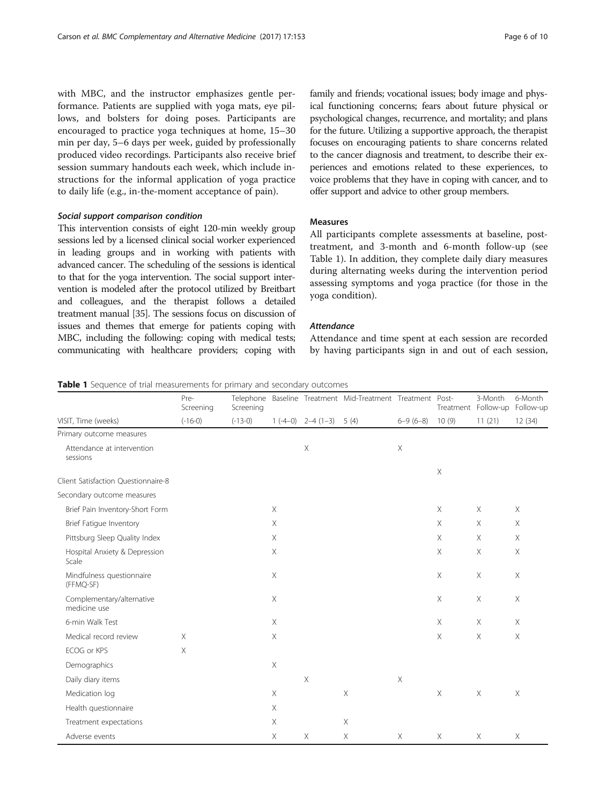with MBC, and the instructor emphasizes gentle performance. Patients are supplied with yoga mats, eye pillows, and bolsters for doing poses. Participants are encouraged to practice yoga techniques at home, 15–30 min per day, 5–6 days per week, guided by professionally produced video recordings. Participants also receive brief session summary handouts each week, which include instructions for the informal application of yoga practice to daily life (e.g., in-the-moment acceptance of pain).

#### Social support comparison condition

This intervention consists of eight 120-min weekly group sessions led by a licensed clinical social worker experienced in leading groups and in working with patients with advanced cancer. The scheduling of the sessions is identical to that for the yoga intervention. The social support intervention is modeled after the protocol utilized by Breitbart and colleagues, and the therapist follows a detailed treatment manual [\[35](#page-8-0)]. The sessions focus on discussion of issues and themes that emerge for patients coping with MBC, including the following: coping with medical tests; communicating with healthcare providers; coping with

family and friends; vocational issues; body image and physical functioning concerns; fears about future physical or psychological changes, recurrence, and mortality; and plans for the future. Utilizing a supportive approach, the therapist focuses on encouraging patients to share concerns related to the cancer diagnosis and treatment, to describe their experiences and emotions related to these experiences, to voice problems that they have in coping with cancer, and to offer support and advice to other group members.

#### Measures

All participants complete assessments at baseline, posttreatment, and 3-month and 6-month follow-up (see Table 1). In addition, they complete daily diary measures during alternating weeks during the intervention period assessing symptoms and yoga practice (for those in the yoga condition).

#### Attendance

Attendance and time spent at each session are recorded by having participants sign in and out of each session,

**Table 1** Sequence of trial measurements for primary and secondary outcomes

|                                           | Pre-<br>Screening | Screening |   |                           | Telephone Baseline Treatment Mid-Treatment Treatment Post- |                |                           | 3-Month<br>Treatment Follow-up | 6-Month<br>Follow-up |
|-------------------------------------------|-------------------|-----------|---|---------------------------|------------------------------------------------------------|----------------|---------------------------|--------------------------------|----------------------|
| VISIT, Time (weeks)                       | $(-16-0)$         | $(-13-0)$ |   | $1(-4-0)$ 2-4 (1-3) 5 (4) |                                                            | $6 - 9(6 - 8)$ | 10(9)                     | 11(21)                         | 12(34)               |
| Primary outcome measures                  |                   |           |   |                           |                                                            |                |                           |                                |                      |
| Attendance at intervention<br>sessions    |                   |           |   | $\mathsf X$               |                                                            | Χ              |                           |                                |                      |
| Client Satisfaction Questionnaire-8       |                   |           |   |                           |                                                            |                | $\boldsymbol{\mathsf{X}}$ |                                |                      |
| Secondary outcome measures                |                   |           |   |                           |                                                            |                |                           |                                |                      |
| Brief Pain Inventory-Short Form           |                   |           | X |                           |                                                            |                | $\times$                  | $\times$                       | X                    |
| Brief Fatigue Inventory                   |                   |           | X |                           |                                                            |                | X                         | $\boldsymbol{\mathsf{X}}$      | Χ                    |
| Pittsburg Sleep Quality Index             |                   |           | X |                           |                                                            |                | $\mathsf X$               | $\times$                       | X                    |
| Hospital Anxiety & Depression<br>Scale    |                   |           | X |                           |                                                            |                | X                         | $\times$                       | Χ                    |
| Mindfulness questionnaire<br>(FFMQ-SF)    |                   |           | X |                           |                                                            |                | $\boldsymbol{\mathsf{X}}$ | $\boldsymbol{\mathsf{X}}$      | Χ                    |
| Complementary/alternative<br>medicine use |                   |           | X |                           |                                                            |                | $\times$                  | $\boldsymbol{\mathsf{X}}$      | X                    |
| 6-min Walk Test                           |                   |           | X |                           |                                                            |                | X                         | $\times$                       | X                    |
| Medical record review                     | Χ                 |           | X |                           |                                                            |                | X                         | Χ                              | X                    |
| ECOG or KPS                               | $\times$          |           |   |                           |                                                            |                |                           |                                |                      |
| Demographics                              |                   |           | Χ |                           |                                                            |                |                           |                                |                      |
| Daily diary items                         |                   |           |   | $\times$                  |                                                            | Χ              |                           |                                |                      |
| Medication log                            |                   |           | X |                           | X                                                          |                | Χ                         | $\mathsf X$                    | $\mathsf X$          |
| Health questionnaire                      |                   |           | Χ |                           |                                                            |                |                           |                                |                      |
| Treatment expectations                    |                   |           | Χ |                           | X                                                          |                |                           |                                |                      |
| Adverse events                            |                   |           | Χ | $\mathsf X$               | Χ                                                          | Χ              | $\boldsymbol{\mathsf{X}}$ | $\boldsymbol{\mathsf{X}}$      | Χ                    |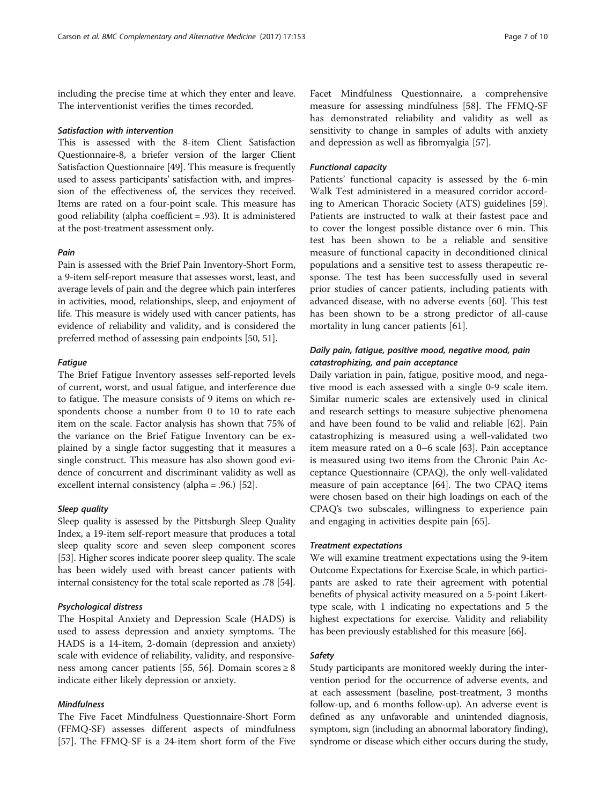including the precise time at which they enter and leave. The interventionist verifies the times recorded.

#### Satisfaction with intervention

This is assessed with the 8-item Client Satisfaction Questionnaire-8, a briefer version of the larger Client Satisfaction Questionnaire [\[49\]](#page-9-0). This measure is frequently used to assess participants' satisfaction with, and impression of the effectiveness of, the services they received. Items are rated on a four-point scale. This measure has good reliability (alpha coefficient = .93). It is administered at the post-treatment assessment only.

#### Pain

Pain is assessed with the Brief Pain Inventory-Short Form, a 9-item self-report measure that assesses worst, least, and average levels of pain and the degree which pain interferes in activities, mood, relationships, sleep, and enjoyment of life. This measure is widely used with cancer patients, has evidence of reliability and validity, and is considered the preferred method of assessing pain endpoints [[50](#page-9-0), [51\]](#page-9-0).

#### **Fatiaue**

The Brief Fatigue Inventory assesses self-reported levels of current, worst, and usual fatigue, and interference due to fatigue. The measure consists of 9 items on which respondents choose a number from 0 to 10 to rate each item on the scale. Factor analysis has shown that 75% of the variance on the Brief Fatigue Inventory can be explained by a single factor suggesting that it measures a single construct. This measure has also shown good evidence of concurrent and discriminant validity as well as excellent internal consistency (alpha = .96.) [[52\]](#page-9-0).

#### Sleep quality

Sleep quality is assessed by the Pittsburgh Sleep Quality Index, a 19-item self-report measure that produces a total sleep quality score and seven sleep component scores [[53](#page-9-0)]. Higher scores indicate poorer sleep quality. The scale has been widely used with breast cancer patients with internal consistency for the total scale reported as .78 [\[54\]](#page-9-0).

#### Psychological distress

The Hospital Anxiety and Depression Scale (HADS) is used to assess depression and anxiety symptoms. The HADS is a 14-item, 2-domain (depression and anxiety) scale with evidence of reliability, validity, and responsive-ness among cancer patients [[55](#page-9-0), [56](#page-9-0)]. Domain scores  $\geq 8$ indicate either likely depression or anxiety.

#### Mindfulness

The Five Facet Mindfulness Questionnaire-Short Form (FFMQ-SF) assesses different aspects of mindfulness [[57\]](#page-9-0). The FFMQ-SF is a 24-item short form of the Five

Facet Mindfulness Questionnaire, a comprehensive measure for assessing mindfulness [[58\]](#page-9-0). The FFMQ-SF has demonstrated reliability and validity as well as sensitivity to change in samples of adults with anxiety and depression as well as fibromyalgia [[57](#page-9-0)].

#### Functional capacity

Patients' functional capacity is assessed by the 6-min Walk Test administered in a measured corridor according to American Thoracic Society (ATS) guidelines [\[59](#page-9-0)]. Patients are instructed to walk at their fastest pace and to cover the longest possible distance over 6 min. This test has been shown to be a reliable and sensitive measure of functional capacity in deconditioned clinical populations and a sensitive test to assess therapeutic response. The test has been successfully used in several prior studies of cancer patients, including patients with advanced disease, with no adverse events [\[60](#page-9-0)]. This test has been shown to be a strong predictor of all-cause mortality in lung cancer patients [[61\]](#page-9-0).

### Daily pain, fatigue, positive mood, negative mood, pain catastrophizing, and pain acceptance

Daily variation in pain, fatigue, positive mood, and negative mood is each assessed with a single 0-9 scale item. Similar numeric scales are extensively used in clinical and research settings to measure subjective phenomena and have been found to be valid and reliable [[62](#page-9-0)]. Pain catastrophizing is measured using a well-validated two item measure rated on a 0–6 scale [\[63](#page-9-0)]. Pain acceptance is measured using two items from the Chronic Pain Acceptance Questionnaire (CPAQ), the only well-validated measure of pain acceptance [\[64\]](#page-9-0). The two CPAQ items were chosen based on their high loadings on each of the CPAQ's two subscales, willingness to experience pain and engaging in activities despite pain [[65](#page-9-0)].

#### Treatment expectations

We will examine treatment expectations using the 9-item Outcome Expectations for Exercise Scale, in which participants are asked to rate their agreement with potential benefits of physical activity measured on a 5-point Likerttype scale, with 1 indicating no expectations and 5 the highest expectations for exercise. Validity and reliability has been previously established for this measure [[66](#page-9-0)].

#### Safety

Study participants are monitored weekly during the intervention period for the occurrence of adverse events, and at each assessment (baseline, post-treatment, 3 months follow-up, and 6 months follow-up). An adverse event is defined as any unfavorable and unintended diagnosis, symptom, sign (including an abnormal laboratory finding), syndrome or disease which either occurs during the study,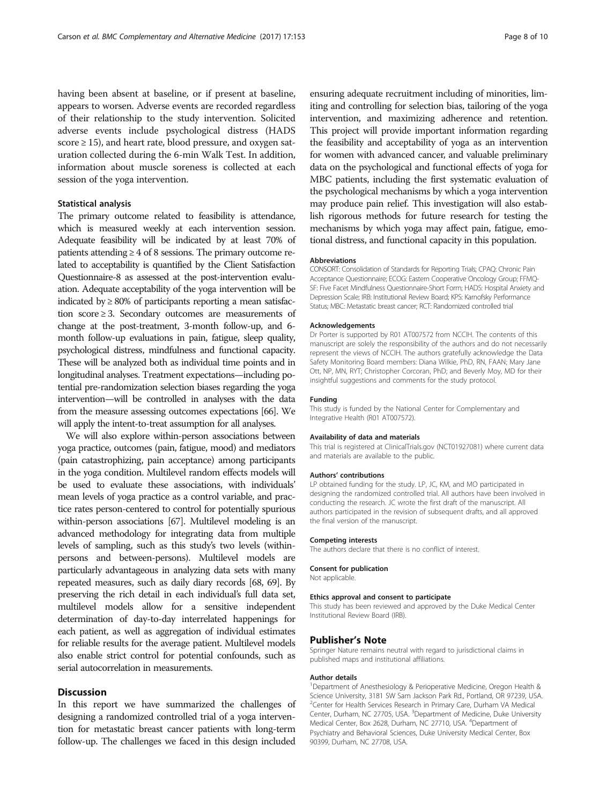having been absent at baseline, or if present at baseline, appears to worsen. Adverse events are recorded regardless of their relationship to the study intervention. Solicited adverse events include psychological distress (HADS score ≥ 15), and heart rate, blood pressure, and oxygen saturation collected during the 6-min Walk Test. In addition, information about muscle soreness is collected at each session of the yoga intervention.

#### Statistical analysis

The primary outcome related to feasibility is attendance, which is measured weekly at each intervention session. Adequate feasibility will be indicated by at least 70% of patients attending  $\geq 4$  of 8 sessions. The primary outcome related to acceptability is quantified by the Client Satisfaction Questionnaire-8 as assessed at the post-intervention evaluation. Adequate acceptability of the yoga intervention will be indicated by  $\geq$  80% of participants reporting a mean satisfaction  $score \geq 3$ . Secondary outcomes are measurements of change at the post-treatment, 3-month follow-up, and 6 month follow-up evaluations in pain, fatigue, sleep quality, psychological distress, mindfulness and functional capacity. These will be analyzed both as individual time points and in longitudinal analyses. Treatment expectations—including potential pre-randomization selection biases regarding the yoga intervention—will be controlled in analyses with the data from the measure assessing outcomes expectations [\[66\]](#page-9-0). We will apply the intent-to-treat assumption for all analyses.

We will also explore within-person associations between yoga practice, outcomes (pain, fatigue, mood) and mediators (pain catastrophizing, pain acceptance) among participants in the yoga condition. Multilevel random effects models will be used to evaluate these associations, with individuals' mean levels of yoga practice as a control variable, and practice rates person-centered to control for potentially spurious within-person associations [\[67](#page-9-0)]. Multilevel modeling is an advanced methodology for integrating data from multiple levels of sampling, such as this study's two levels (withinpersons and between-persons). Multilevel models are particularly advantageous in analyzing data sets with many repeated measures, such as daily diary records [\[68](#page-9-0), [69](#page-9-0)]. By preserving the rich detail in each individual's full data set, multilevel models allow for a sensitive independent determination of day-to-day interrelated happenings for each patient, as well as aggregation of individual estimates for reliable results for the average patient. Multilevel models also enable strict control for potential confounds, such as serial autocorrelation in measurements.

#### **Discussion**

In this report we have summarized the challenges of designing a randomized controlled trial of a yoga intervention for metastatic breast cancer patients with long-term follow-up. The challenges we faced in this design included

ensuring adequate recruitment including of minorities, limiting and controlling for selection bias, tailoring of the yoga intervention, and maximizing adherence and retention. This project will provide important information regarding the feasibility and acceptability of yoga as an intervention for women with advanced cancer, and valuable preliminary data on the psychological and functional effects of yoga for MBC patients, including the first systematic evaluation of the psychological mechanisms by which a yoga intervention may produce pain relief. This investigation will also establish rigorous methods for future research for testing the mechanisms by which yoga may affect pain, fatigue, emotional distress, and functional capacity in this population.

#### Abbreviations

CONSORT: Consolidation of Standards for Reporting Trials; CPAQ: Chronic Pain Acceptance Questionnaire; ECOG: Eastern Cooperative Oncology Group; FFMQ-SF: Five Facet Mindfulness Questionnaire-Short Form; HADS: Hospital Anxiety and Depression Scale; IRB: Institutional Review Board; KPS: Karnofsky Performance Status; MBC: Metastatic breast cancer; RCT: Randomized controlled trial

#### Acknowledgements

Dr Porter is supported by R01 AT007572 from NCCIH. The contents of this manuscript are solely the responsibility of the authors and do not necessarily represent the views of NCCIH. The authors gratefully acknowledge the Data Safety Monitoring Board members: Diana Wilkie, PhD, RN, FAAN; Mary Jane Ott, NP, MN, RYT; Christopher Corcoran, PhD; and Beverly Moy, MD for their insightful suggestions and comments for the study protocol.

#### Funding

This study is funded by the National Center for Complementary and Integrative Health (R01 AT007572).

#### Availability of data and materials

This trial is registered at ClinicalTrials.gov (NCT01927081) where current data and materials are available to the public.

#### Authors' contributions

LP obtained funding for the study. LP, JC, KM, and MO participated in designing the randomized controlled trial. All authors have been involved in conducting the research. JC wrote the first draft of the manuscript. All authors participated in the revision of subsequent drafts, and all approved the final version of the manuscript.

#### Competing interests

The authors declare that there is no conflict of interest.

#### Consent for publication

Not applicable.

#### Ethics approval and consent to participate

This study has been reviewed and approved by the Duke Medical Center Institutional Review Board (IRB).

#### Publisher's Note

Springer Nature remains neutral with regard to jurisdictional claims in published maps and institutional affiliations.

#### Author details

<sup>1</sup>Department of Anesthesiology & Perioperative Medicine, Oregon Health & Science University, 3181 SW Sam Jackson Park Rd., Portland, OR 97239, USA. <sup>2</sup> Center for Health Services Research in Primary Care, Durham VA Medical Center, Durham, NC 27705, USA. <sup>3</sup>Department of Medicine, Duke University Medical Center, Box 2628, Durham, NC 27710, USA. <sup>4</sup>Department of Psychiatry and Behavioral Sciences, Duke University Medical Center, Box 90399, Durham, NC 27708, USA.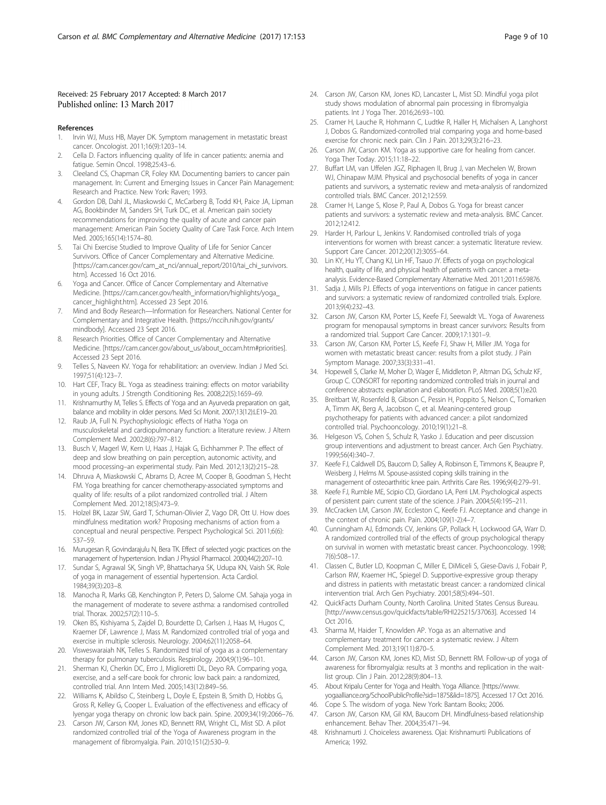#### <span id="page-8-0"></span>References

- 1. Irvin WJ, Muss HB, Mayer DK. Symptom management in metastatic breast cancer. Oncologist. 2011;16(9):1203–14.
- 2. Cella D. Factors influencing quality of life in cancer patients: anemia and fatigue. Semin Oncol. 1998;25:43-6.
- 3. Cleeland CS, Chapman CR, Foley KM. Documenting barriers to cancer pain management. In: Current and Emerging Issues in Cancer Pain Management: Research and Practice. New York: Raven; 1993.
- 4. Gordon DB, Dahl JL, Miaskowski C, McCarberg B, Todd KH, Paice JA, Lipman AG, Bookbinder M, Sanders SH, Turk DC, et al. American pain society recommendations for improving the quality of acute and cancer pain management: American Pain Society Quality of Care Task Force. Arch Intern Med. 2005;165(14):1574–80.
- Tai Chi Exercise Studied to Improve Quality of Life for Senior Cancer Survivors. Office of Cancer Complementary and Alternative Medicine. [[https://cam.cancer.gov/cam\\_at\\_nci/annual\\_report/2010/tai\\_chi\\_survivors.](https://cam.cancer.gov/cam_at_nci/annual_report/2010/tai_chi_survivors.htm) [htm](https://cam.cancer.gov/cam_at_nci/annual_report/2010/tai_chi_survivors.htm)]. Accessed 16 Oct 2016.
- Yoga and Cancer. Office of Cancer Complementary and Alternative Medicine. [[https://cam.cancer.gov/health\\_information/highlights/yoga\\_](https://cam.cancer.gov/health_information/highlights/yoga_cancer_highlight.htm) [cancer\\_highlight.htm\]](https://cam.cancer.gov/health_information/highlights/yoga_cancer_highlight.htm). Accessed 23 Sept 2016.
- 7. Mind and Body Research—Information for Researchers. National Center for Complementary and Integrative Health. [[https://nccih.nih.gov/grants/](https://nccih.nih.gov/grants/mindbody) [mindbody](https://nccih.nih.gov/grants/mindbody)]. Accessed 23 Sept 2016.
- 8. Research Priorities. Office of Cancer Complementary and Alternative Medicine. [[https://cam.cancer.gov/about\\_us/about\\_occam.htm#priorities\]](https://cam.cancer.gov/about_us/about_occam.htm#priorities). Accessed 23 Sept 2016.
- 9. Telles S, Naveen KV. Yoga for rehabilitation: an overview. Indian J Med Sci. 1997;51(4):123–7.
- 10. Hart CEF, Tracy BL. Yoga as steadiness training: effects on motor variability in young adults. J Strength Conditioning Res. 2008;22(5):1659–69.
- 11. Krishnamurthy M, Telles S. Effects of Yoga and an Ayurveda preparation on gait, balance and mobility in older persons. Med Sci Monit. 2007;13(12):LE19–20.
- 12. Raub JA, Full N. Psychophysiologic effects of Hatha Yoga on musculoskeletal and cardiopulmonary function: a literature review. J Altern Complement Med. 2002;8(6):797–812.
- 13. Busch V, Magerl W, Kern U, Haas J, Hajak G, Eichhammer P. The effect of deep and slow breathing on pain perception, autonomic activity, and mood processing–an experimental study. Pain Med. 2012;13(2):215–28.
- 14. Dhruva A, Miaskowski C, Abrams D, Acree M, Cooper B, Goodman S, Hecht FM. Yoga breathing for cancer chemotherapy-associated symptoms and quality of life: results of a pilot randomized controlled trial. J Altern Complement Med. 2012;18(5):473–9.
- 15. Holzel BK, Lazar SW, Gard T, Schuman-Olivier Z, Vago DR, Ott U. How does mindfulness meditation work? Proposing mechanisms of action from a conceptual and neural perspective. Perspect Psychological Sci. 2011;6(6): 537–59.
- 16. Murugesan R, Govindarajulu N, Bera TK. Effect of selected yogic practices on the management of hypertension. Indian J Physiol Pharmacol. 2000;44(2):207–10.
- 17. Sundar S, Agrawal SK, Singh VP, Bhattacharya SK, Udupa KN, Vaish SK. Role of yoga in management of essential hypertension. Acta Cardiol. 1984;39(3):203–8.
- 18. Manocha R, Marks GB, Kenchington P, Peters D, Salome CM. Sahaja yoga in the management of moderate to severe asthma: a randomised controlled trial. Thorax. 2002;57(2):110–5.
- 19. Oken BS, Kishiyama S, Zajdel D, Bourdette D, Carlsen J, Haas M, Hugos C, Kraemer DF, Lawrence J, Mass M. Randomized controlled trial of yoga and exercise in multiple sclerosis. Neurology. 2004;62(11):2058–64.
- 20. Visweswaraiah NK, Telles S. Randomized trial of yoga as a complementary therapy for pulmonary tuberculosis. Respirology. 2004;9(1):96–101.
- 21. Sherman KJ, Cherkin DC, Erro J, Miglioretti DL, Deyo RA. Comparing yoga, exercise, and a self-care book for chronic low back pain: a randomized, controlled trial. Ann Intern Med. 2005;143(12):849–56.
- 22. Williams K, Abildso C, Steinberg L, Doyle E, Epstein B, Smith D, Hobbs G, Gross R, Kelley G, Cooper L. Evaluation of the effectiveness and efficacy of Iyengar yoga therapy on chronic low back pain. Spine. 2009;34(19):2066–76.
- 23. Carson JW, Carson KM, Jones KD, Bennett RM, Wright CL, Mist SD. A pilot randomized controlled trial of the Yoga of Awareness program in the management of fibromyalgia. Pain. 2010;151(2):530–9.
- 24. Carson JW, Carson KM, Jones KD, Lancaster L, Mist SD. Mindful yoga pilot study shows modulation of abnormal pain processing in fibromyalgia patients. Int J Yoga Ther. 2016;26:93–100.
- 25. Cramer H, Lauche R, Hohmann C, Ludtke R, Haller H, Michalsen A, Langhorst J, Dobos G. Randomized-controlled trial comparing yoga and home-based exercise for chronic neck pain. Clin J Pain. 2013;29(3):216–23.
- 26. Carson JW, Carson KM. Yoga as supportive care for healing from cancer. Yoga Ther Today. 2015;11:18–22.
- 27. Buffart LM, van Uffelen JGZ, Riphagen II, Brug J, van Mechelen W, Brown WJ, Chinapaw MJM. Physical and psychosocial benefits of yoga in cancer patients and survivors, a systematic review and meta-analysis of randomized controlled trials. BMC Cancer. 2012;12:559.
- 28. Cramer H, Lange S, Klose P, Paul A, Dobos G. Yoga for breast cancer patients and survivors: a systematic review and meta-analysis. BMC Cancer. 2012;12:412.
- 29. Harder H, Parlour L, Jenkins V. Randomised controlled trials of yoga interventions for women with breast cancer: a systematic literature review. Support Care Cancer. 2012;20(12):3055–64.
- 30. Lin KY, Hu YT, Chang KJ, Lin HF, Tsauo JY. Effects of yoga on psychological health, quality of life, and physical health of patients with cancer: a metaanalysis. Evidence-Based Complementary Alternative Med. 2011;2011:659876.
- 31. Sadja J, Mills PJ. Effects of yoga interventions on fatigue in cancer patients and survivors: a systematic review of randomized controlled trials. Explore. 2013;9(4):232–43.
- 32. Carson JW, Carson KM, Porter LS, Keefe FJ, Seewaldt VL. Yoga of Awareness program for menopausal symptoms in breast cancer survivors: Results from a randomized trial. Support Care Cancer. 2009;17:1301–9.
- 33. Carson JW, Carson KM, Porter LS, Keefe FJ, Shaw H, Miller JM. Yoga for women with metastatic breast cancer: results from a pilot study. J Pain Symptom Manage. 2007;33(3):331–41.
- 34. Hopewell S, Clarke M, Moher D, Wager E, Middleton P, Altman DG, Schulz KF, Group C. CONSORT for reporting randomized controlled trials in journal and conference abstracts: explanation and elaboration. PLoS Med. 2008;5(1):e20.
- 35. Breitbart W, Rosenfeld B, Gibson C, Pessin H, Poppito S, Nelson C, Tomarken A, Timm AK, Berg A, Jacobson C, et al. Meaning-centered group psychotherapy for patients with advanced cancer: a pilot randomized controlled trial. Psychooncology. 2010;19(1):21–8.
- 36. Helgeson VS, Cohen S, Schulz R, Yasko J. Education and peer discussion group interventions and adjustment to breast cancer. Arch Gen Psychiatry. 1999;56(4):340–7.
- 37. Keefe FJ, Caldwell DS, Baucom D, Salley A, Robinson E, Timmons K, Beaupre P, Weisberg J, Helms M. Spouse-assisted coping skills training in the management of osteoarthritic knee pain. Arthritis Care Res. 1996;9(4):279–91.
- 38. Keefe FJ, Rumble ME, Scipio CD, Giordano LA, Perri LM. Psychological aspects of persistent pain: current state of the science. J Pain. 2004;5(4):195–211.
- 39. McCracken LM, Carson JW, Eccleston C, Keefe FJ. Acceptance and change in the context of chronic pain. Pain. 2004;109(1-2):4–7.
- 40. Cunningham AJ, Edmonds CV, Jenkins GP, Pollack H, Lockwood GA, Warr D. A randomized controlled trial of the effects of group psychological therapy on survival in women with metastatic breast cancer. Psychooncology. 1998; 7(6):508–17.
- 41. Classen C, Butler LD, Koopman C, Miller E, DiMiceli S, Giese-Davis J, Fobair P, Carlson RW, Kraemer HC, Spiegel D. Supportive-expressive group therapy and distress in patients with metastatic breast cancer: a randomized clinical intervention trial. Arch Gen Psychiatry. 2001;58(5):494–501.
- 42. QuickFacts Durham County, North Carolina. United States Census Bureau. [<http://www.census.gov/quickfacts/table/RHI225215/37063>]. Accessed 14 Oct 2016.
- 43. Sharma M, Haider T, Knowlden AP. Yoga as an alternative and complementary treatment for cancer: a systematic review. J Altern Complement Med. 2013;19(11):870–5.
- 44. Carson JW, Carson KM, Jones KD, Mist SD, Bennett RM. Follow-up of yoga of awareness for fibromyalgia: results at 3 months and replication in the waitlist group. Clin J Pain. 2012;28(9):804–13.
- 45. About Kripalu Center for Yoga and Health. Yoga Alliance. [[https://www.](https://www.yogaalliance.org/SchoolPublicProfile?sid=1875&lid=1875) [yogaalliance.org/SchoolPublicProfile?sid=1875&lid=1875](https://www.yogaalliance.org/SchoolPublicProfile?sid=1875&lid=1875)]. Accessed 17 Oct 2016.
- 46. Cope S. The wisdom of yoga. New York: Bantam Books; 2006.
- 47. Carson JW, Carson KM, Gil KM, Baucom DH. Mindfulness-based relationship enhancement. Behav Ther. 2004;35:471–94.
- 48. Krishnamurti J. Choiceless awareness. Ojai: Krishnamurti Publications of America; 1992.